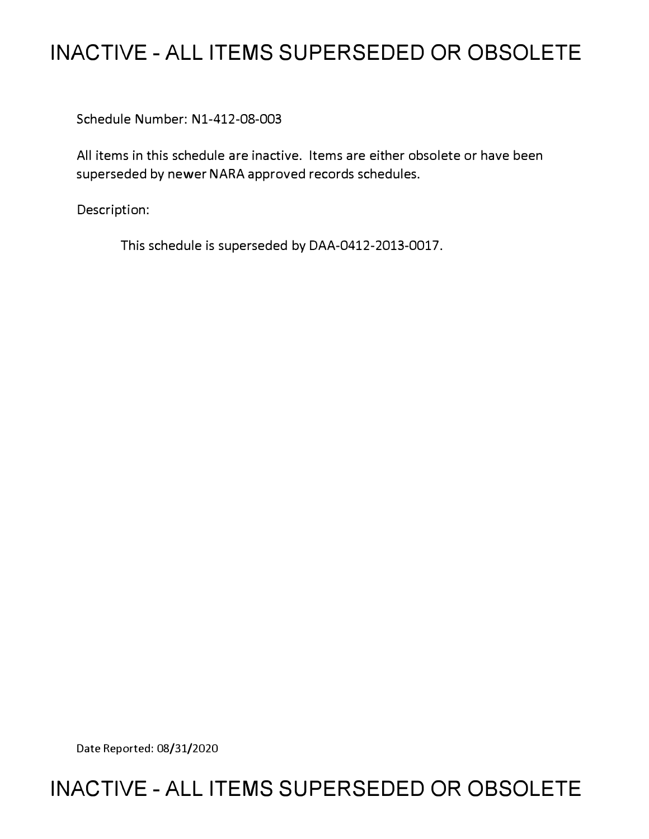# **INACTIVE - ALL ITEMS SUPERSEDED OR OBSOLETE**

Schedule Number: Nl-412-08-003

All items in this schedule are inactive. Items are either obsolete or have been superseded by newer NARA approved records schedules.

Description:

This schedule is superseded by DAA-0412-2013-0017.

Date Reported: 08/31/2020

# **INACTIVE - ALL ITEMS SUPERSEDED OR OBSOLETE**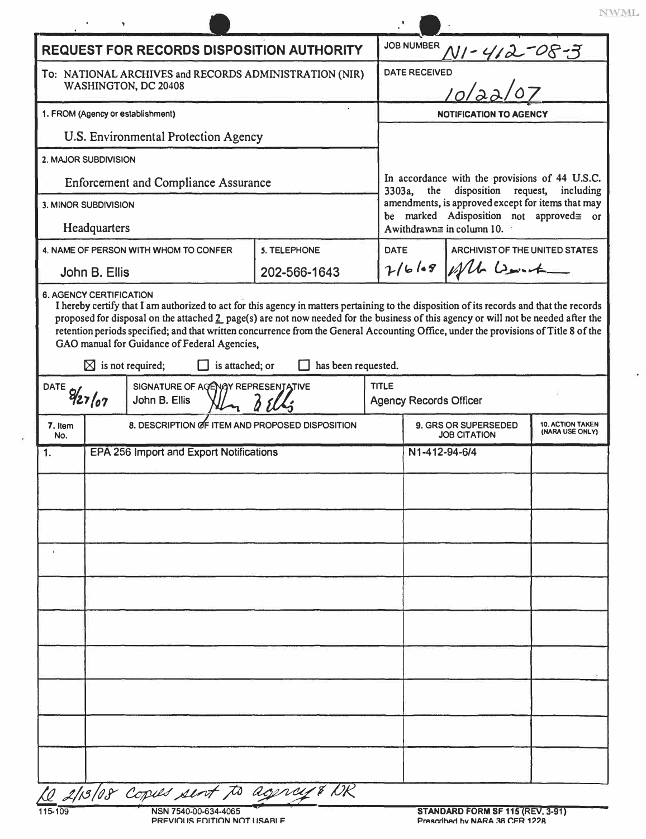| <b>REQUEST FOR RECORDS DISPOSITION AUTHORITY</b>                                                                                                                                                |                      |                                                 |              |             | <b>JOB NUMBER</b><br>NI-412-08-3                                                                                                                          |                                        |                                            |
|-------------------------------------------------------------------------------------------------------------------------------------------------------------------------------------------------|----------------------|-------------------------------------------------|--------------|-------------|-----------------------------------------------------------------------------------------------------------------------------------------------------------|----------------------------------------|--------------------------------------------|
| To: NATIONAL ARCHIVES and RECORDS ADMINISTRATION (NIR)<br>WASHINGTON, DC 20408                                                                                                                  |                      |                                                 |              |             | <b>DATE RECEIVED</b>                                                                                                                                      |                                        |                                            |
|                                                                                                                                                                                                 |                      |                                                 |              |             |                                                                                                                                                           |                                        |                                            |
| 1. FROM (Agency or establishment)                                                                                                                                                               |                      |                                                 |              |             | <b>NOTIFICATION TO AGENCY</b>                                                                                                                             |                                        |                                            |
|                                                                                                                                                                                                 |                      | U.S. Environmental Protection Agency            |              |             |                                                                                                                                                           |                                        |                                            |
|                                                                                                                                                                                                 | 2. MAJOR SUBDIVISION |                                                 |              |             |                                                                                                                                                           |                                        |                                            |
| <b>Enforcement and Compliance Assurance</b><br>3. MINOR SUBDIVISION                                                                                                                             |                      |                                                 |              |             | In accordance with the provisions of 44 U.S.C.<br>disposition request,<br>the<br>including<br>3303a,<br>amendments, is approved except for items that may |                                        |                                            |
|                                                                                                                                                                                                 |                      |                                                 |              |             |                                                                                                                                                           | be marked Adisposition not approved or |                                            |
|                                                                                                                                                                                                 | Headquarters         |                                                 | 5. TELEPHONE | <b>DATE</b> |                                                                                                                                                           | A withdrawn $\equiv$ in column 10.     |                                            |
| 4. NAME OF PERSON WITH WHOM TO CONFER<br>John B. Ellis                                                                                                                                          |                      | 202-566-1643                                    |              |             | ARCHIVIST OF THE UNITED STATES<br>$7/6/08$ / all bount                                                                                                    |                                        |                                            |
| GAO manual for Guidance of Federal Agencies,<br>has been requested.<br>$\boxtimes$ is not required;<br>is attached; or<br>SIGNATURE OF AGENGY REPRESENTATIVE<br>DATE $9/27/07$<br>John B. Ellis |                      |                                                 |              |             | <b>TITLE</b><br><b>Agency Records Officer</b>                                                                                                             |                                        |                                            |
| 7. Item                                                                                                                                                                                         |                      |                                                 |              |             |                                                                                                                                                           |                                        |                                            |
|                                                                                                                                                                                                 |                      | 8. DESCRIPTION OF ITEM AND PROPOSED DISPOSITION |              |             |                                                                                                                                                           | 9. GRS OR SUPERSEDED                   | <b>10. ACTION TAKEN</b><br>(NARA USE ONLY) |
| No.                                                                                                                                                                                             |                      | EPA 256 Import and Export Notifications         |              |             | N1-412-94-6/4                                                                                                                                             | <b>JOB CITATION</b>                    |                                            |
|                                                                                                                                                                                                 |                      |                                                 |              |             |                                                                                                                                                           |                                        |                                            |
|                                                                                                                                                                                                 |                      |                                                 |              |             |                                                                                                                                                           |                                        |                                            |
|                                                                                                                                                                                                 |                      |                                                 |              |             |                                                                                                                                                           |                                        |                                            |
|                                                                                                                                                                                                 |                      |                                                 |              |             |                                                                                                                                                           |                                        |                                            |
|                                                                                                                                                                                                 |                      |                                                 |              |             |                                                                                                                                                           |                                        |                                            |
|                                                                                                                                                                                                 |                      |                                                 |              |             |                                                                                                                                                           |                                        |                                            |
|                                                                                                                                                                                                 |                      |                                                 |              |             |                                                                                                                                                           |                                        |                                            |
|                                                                                                                                                                                                 |                      |                                                 |              |             |                                                                                                                                                           |                                        |                                            |
|                                                                                                                                                                                                 |                      |                                                 |              |             |                                                                                                                                                           |                                        |                                            |
|                                                                                                                                                                                                 |                      |                                                 |              |             |                                                                                                                                                           |                                        |                                            |
|                                                                                                                                                                                                 |                      |                                                 |              |             |                                                                                                                                                           |                                        |                                            |
| 1.                                                                                                                                                                                              |                      |                                                 |              |             |                                                                                                                                                           |                                        |                                            |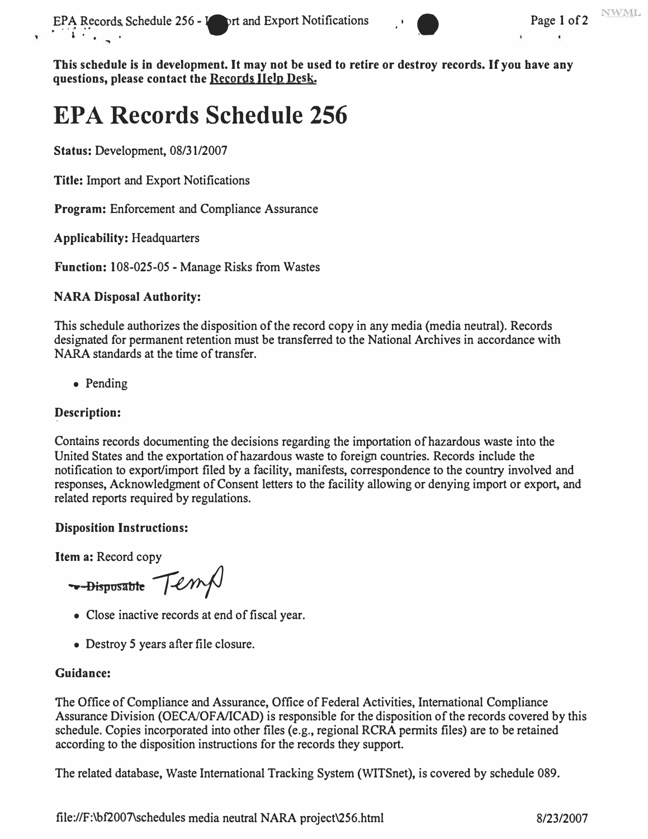

**This schedule is in development. It may not be used to retire or destroy records. If you have any questions, please contact the Records Help Desk.** 

# **EPA Records Schedule 256**

**Status:** Development, 08/31/2007

**Title:** Import and Export Notifications

**Program:** Enforcement and Compliance Assurance

**Applicability:** Headquarters

**Function:** 108-025-05 - Manage Risks from Wastes

#### **NARA Disposal Authority:**

This schedule authorizes the disposition of the record copy in any media (media neutral). Records designated for permanent retention must be transferred to the National Archives in accordance with NARA standards at the time of transfer.

• Pending

## **Description:**

Contains records documenting the decisions regarding the importation of hazardous waste into the United States and the exportation of hazardous waste to foreign countries. Records include the notification to export/import filed by a facility, manifests, correspondence to the country involved and responses, Acknowledgment of Consent letters to the facility allowing or denying import or export, and related reports required by regulations.

## **Disposition Instructions:**

**Item a:** Record copy

 $\rightarrow$ - $\frac{1}{2}$   $\frac{1}{2}$   $\frac{1}{2}$   $\frac{1}{2}$   $\frac{1}{2}$   $\frac{1}{2}$   $\frac{1}{2}$   $\frac{1}{2}$   $\frac{1}{2}$   $\frac{1}{2}$   $\frac{1}{2}$   $\frac{1}{2}$   $\frac{1}{2}$   $\frac{1}{2}$   $\frac{1}{2}$   $\frac{1}{2}$   $\frac{1}{2}$   $\frac{1}{2}$   $\frac{1}{2}$   $\frac{1}{2}$   $\frac{1}{2}$   $\frac{1}{$ 

- Close inactive records at end of fiscal year.
- Destroy *5* years after file closure.

## **Guidance:**

The Office of Compliance and Assurance, Office of Federal Activities, International Compliance Assurance Division (OECNOFA/ICAD) is responsible for the disposition of the records covered by this schedule. Copies incorporated into other files (e.g., regional RCRA permits files) are to be retained according to the disposition instructions for the records they support.

The related database, Waste International Tracking System (WITSnet), is covered by schedule 089.